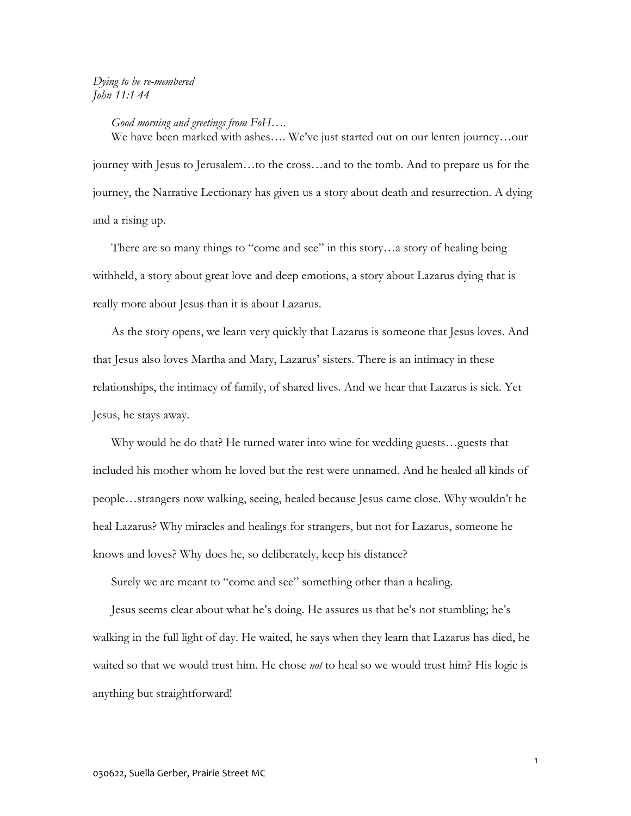## *Dying to be re-membered John 11:1-44*

## *Good morning and greetings from FoH….*

We have been marked with ashes…. We've just started out on our lenten journey…our journey with Jesus to Jerusalem…to the cross…and to the tomb. And to prepare us for the journey, the Narrative Lectionary has given us a story about death and resurrection. A dying and a rising up.

There are so many things to "come and see" in this story…a story of healing being withheld, a story about great love and deep emotions, a story about Lazarus dying that is really more about Jesus than it is about Lazarus.

As the story opens, we learn very quickly that Lazarus is someone that Jesus loves. And that Jesus also loves Martha and Mary, Lazarus' sisters. There is an intimacy in these relationships, the intimacy of family, of shared lives. And we hear that Lazarus is sick. Yet Jesus, he stays away.

Why would he do that? He turned water into wine for wedding guests…guests that included his mother whom he loved but the rest were unnamed. And he healed all kinds of people…strangers now walking, seeing, healed because Jesus came close. Why wouldn't he heal Lazarus? Why miracles and healings for strangers, but not for Lazarus, someone he knows and loves? Why does he, so deliberately, keep his distance?

Surely we are meant to "come and see" something other than a healing.

Jesus seems clear about what he's doing. He assures us that he's not stumbling; he's walking in the full light of day. He waited, he says when they learn that Lazarus has died, he waited so that we would trust him. He chose *not* to heal so we would trust him? His logic is anything but straightforward!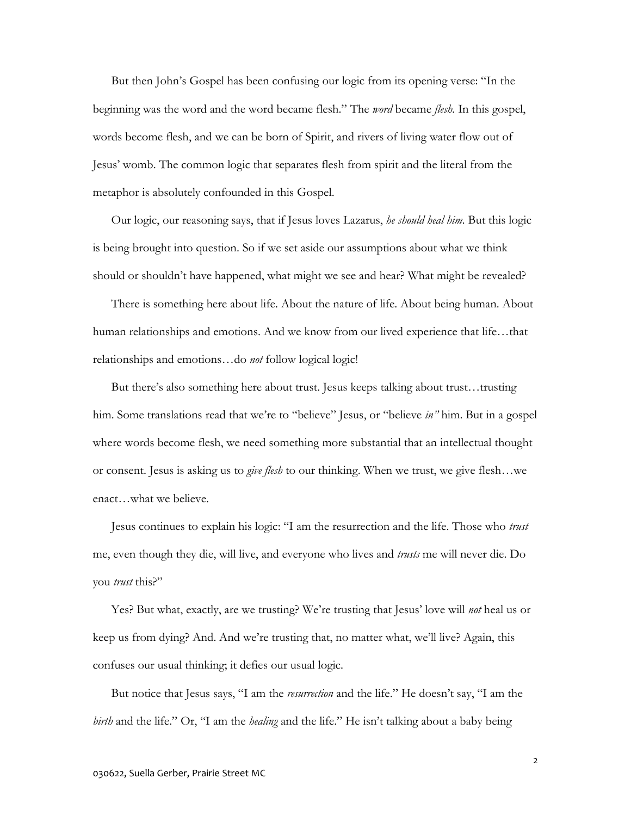But then John's Gospel has been confusing our logic from its opening verse: "In the beginning was the word and the word became flesh." The *word* became *flesh.* In this gospel, words become flesh, and we can be born of Spirit, and rivers of living water flow out of Jesus' womb. The common logic that separates flesh from spirit and the literal from the metaphor is absolutely confounded in this Gospel.

Our logic, our reasoning says, that if Jesus loves Lazarus, *he should heal him.* But this logic is being brought into question. So if we set aside our assumptions about what we think should or shouldn't have happened, what might we see and hear? What might be revealed?

There is something here about life. About the nature of life. About being human. About human relationships and emotions. And we know from our lived experience that life...that relationships and emotions…do *not* follow logical logic!

But there's also something here about trust. Jesus keeps talking about trust…trusting him. Some translations read that we're to "believe" Jesus, or "believe *in"* him. But in a gospel where words become flesh, we need something more substantial that an intellectual thought or consent. Jesus is asking us to *give flesh* to our thinking. When we trust, we give flesh…we enact…what we believe.

Jesus continues to explain his logic: "I am the resurrection and the life. Those who *trust* me, even though they die, will live, and everyone who lives and *trusts* me will never die. Do you *trust* this?"

Yes? But what, exactly, are we trusting? We're trusting that Jesus' love will *not* heal us or keep us from dying? And. And we're trusting that, no matter what, we'll live? Again, this confuses our usual thinking; it defies our usual logic.

But notice that Jesus says, "I am the *resurrection* and the life." He doesn't say, "I am the *birth* and the life." Or, "I am the *healing* and the life." He isn't talking about a baby being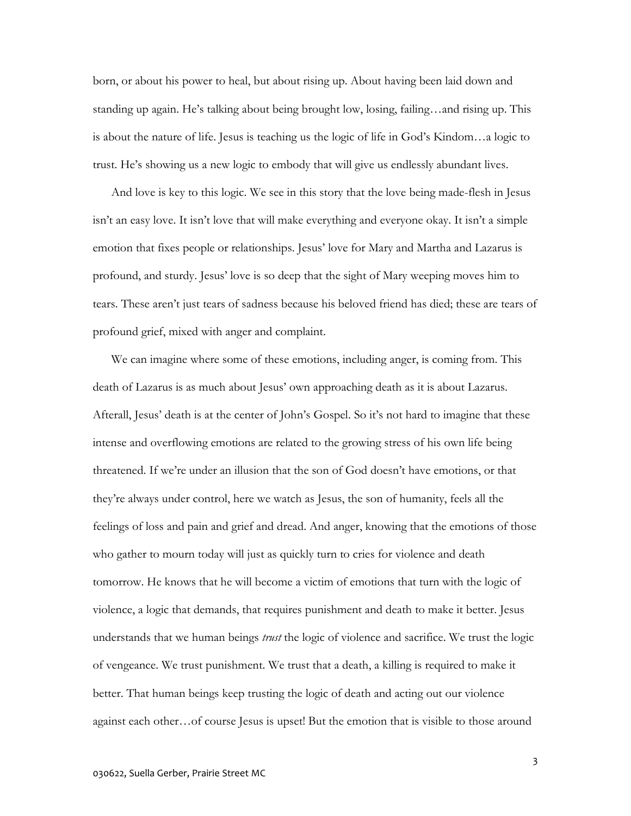born, or about his power to heal, but about rising up. About having been laid down and standing up again. He's talking about being brought low, losing, failing…and rising up. This is about the nature of life. Jesus is teaching us the logic of life in God's Kindom…a logic to trust. He's showing us a new logic to embody that will give us endlessly abundant lives.

And love is key to this logic. We see in this story that the love being made-flesh in Jesus isn't an easy love. It isn't love that will make everything and everyone okay. It isn't a simple emotion that fixes people or relationships. Jesus' love for Mary and Martha and Lazarus is profound, and sturdy. Jesus' love is so deep that the sight of Mary weeping moves him to tears. These aren't just tears of sadness because his beloved friend has died; these are tears of profound grief, mixed with anger and complaint.

We can imagine where some of these emotions, including anger, is coming from. This death of Lazarus is as much about Jesus' own approaching death as it is about Lazarus. Afterall, Jesus' death is at the center of John's Gospel. So it's not hard to imagine that these intense and overflowing emotions are related to the growing stress of his own life being threatened. If we're under an illusion that the son of God doesn't have emotions, or that they're always under control, here we watch as Jesus, the son of humanity, feels all the feelings of loss and pain and grief and dread. And anger, knowing that the emotions of those who gather to mourn today will just as quickly turn to cries for violence and death tomorrow. He knows that he will become a victim of emotions that turn with the logic of violence, a logic that demands, that requires punishment and death to make it better. Jesus understands that we human beings *trust* the logic of violence and sacrifice. We trust the logic of vengeance. We trust punishment. We trust that a death, a killing is required to make it better. That human beings keep trusting the logic of death and acting out our violence against each other…of course Jesus is upset! But the emotion that is visible to those around

3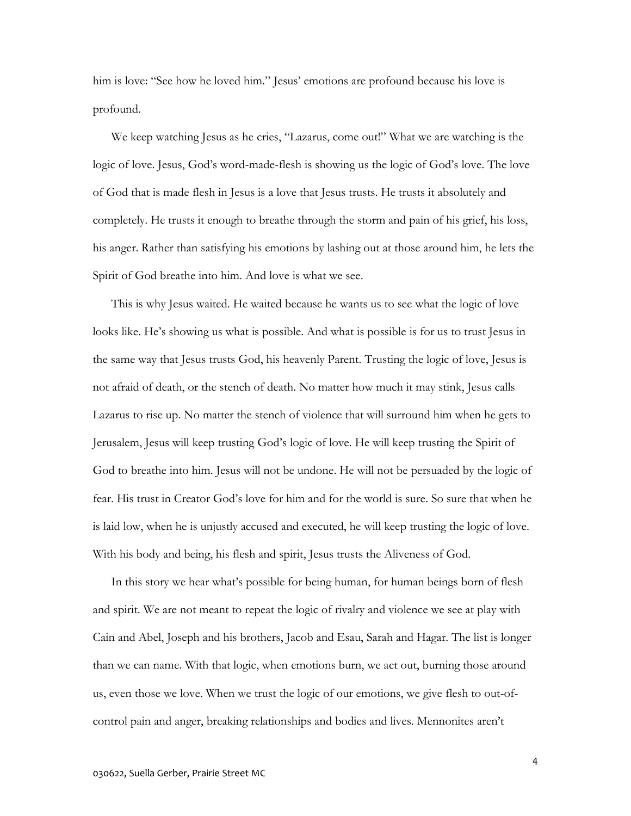him is love: "See how he loved him." Jesus' emotions are profound because his love is profound.

We keep watching Jesus as he cries, "Lazarus, come out!" What we are watching is the logic of love. Jesus, God's word-made-flesh is showing us the logic of God's love. The love of God that is made flesh in Jesus is a love that Jesus trusts. He trusts it absolutely and completely. He trusts it enough to breathe through the storm and pain of his grief, his loss, his anger. Rather than satisfying his emotions by lashing out at those around him, he lets the Spirit of God breathe into him. And love is what we see.

This is why Jesus waited. He waited because he wants us to see what the logic of love looks like. He's showing us what is possible. And what is possible is for us to trust Jesus in the same way that Jesus trusts God, his heavenly Parent. Trusting the logic of love, Jesus is not afraid of death, or the stench of death. No matter how much it may stink, Jesus calls Lazarus to rise up. No matter the stench of violence that will surround him when he gets to Jerusalem, Jesus will keep trusting God's logic of love. He will keep trusting the Spirit of God to breathe into him. Jesus will not be undone. He will not be persuaded by the logic of fear. His trust in Creator God's love for him and for the world is sure. So sure that when he is laid low, when he is unjustly accused and executed, he will keep trusting the logic of love. With his body and being, his flesh and spirit, Jesus trusts the Aliveness of God.

In this story we hear what's possible for being human, for human beings born of flesh and spirit. We are not meant to repeat the logic of rivalry and violence we see at play with Cain and Abel, Joseph and his brothers, Jacob and Esau, Sarah and Hagar. The list is longer than we can name. With that logic, when emotions burn, we act out, burning those around us, even those we love. When we trust the logic of our emotions, we give flesh to out-ofcontrol pain and anger, breaking relationships and bodies and lives. Mennonites aren't

4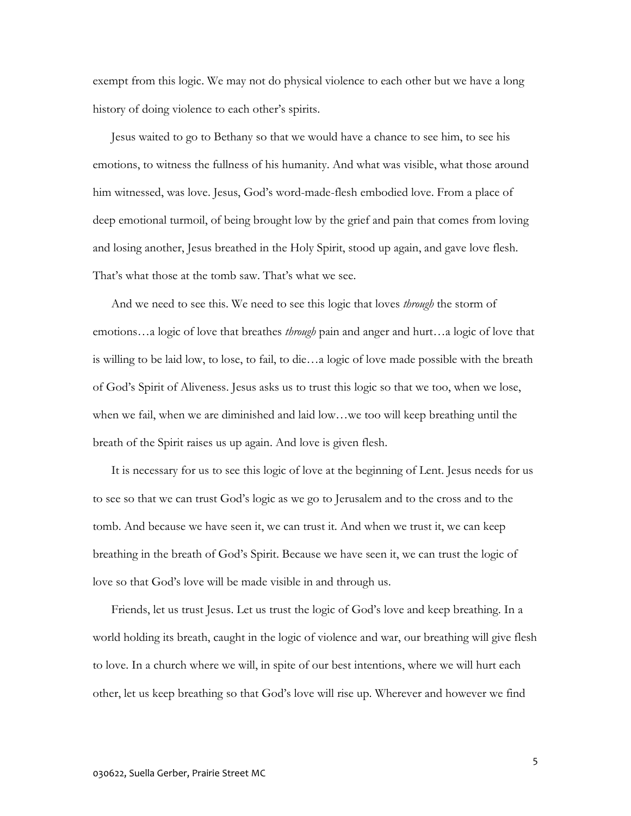exempt from this logic. We may not do physical violence to each other but we have a long history of doing violence to each other's spirits.

Jesus waited to go to Bethany so that we would have a chance to see him, to see his emotions, to witness the fullness of his humanity. And what was visible, what those around him witnessed, was love. Jesus, God's word-made-flesh embodied love. From a place of deep emotional turmoil, of being brought low by the grief and pain that comes from loving and losing another, Jesus breathed in the Holy Spirit, stood up again, and gave love flesh. That's what those at the tomb saw. That's what we see.

And we need to see this. We need to see this logic that loves *through* the storm of emotions…a logic of love that breathes *through* pain and anger and hurt…a logic of love that is willing to be laid low, to lose, to fail, to die…a logic of love made possible with the breath of God's Spirit of Aliveness. Jesus asks us to trust this logic so that we too, when we lose, when we fail, when we are diminished and laid low…we too will keep breathing until the breath of the Spirit raises us up again. And love is given flesh.

It is necessary for us to see this logic of love at the beginning of Lent. Jesus needs for us to see so that we can trust God's logic as we go to Jerusalem and to the cross and to the tomb. And because we have seen it, we can trust it. And when we trust it, we can keep breathing in the breath of God's Spirit. Because we have seen it, we can trust the logic of love so that God's love will be made visible in and through us.

Friends, let us trust Jesus. Let us trust the logic of God's love and keep breathing. In a world holding its breath, caught in the logic of violence and war, our breathing will give flesh to love. In a church where we will, in spite of our best intentions, where we will hurt each other, let us keep breathing so that God's love will rise up. Wherever and however we find

5